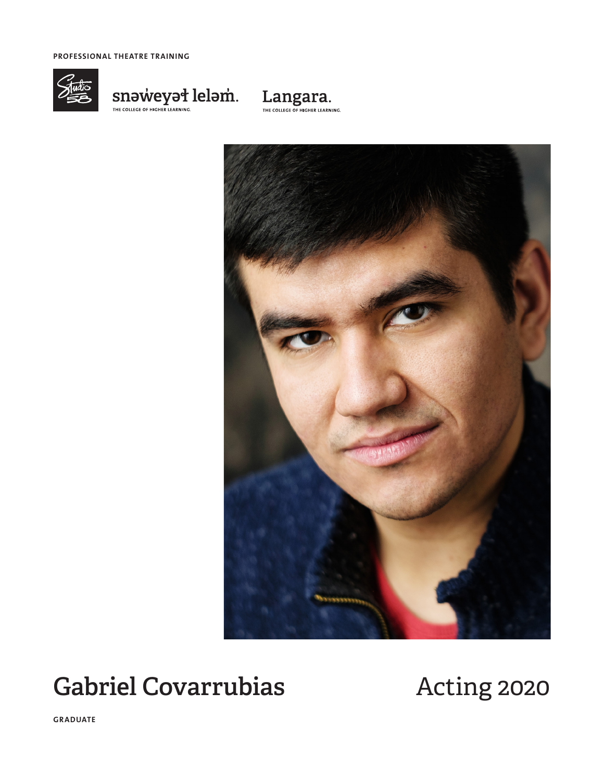**PROFESSIONAL THEATRE TRAINING**



 $\underset{\tiny{\text{THE COLICEG OF HIGHER LERANING.}}{\text{SINB COMC}}\n \begin{minipage}{0.9\linewidth} \n \text{SINBING.} \n \end{minipage} \n \begin{minipage}{0.9\linewidth} \n \begin{minipage}{0.9\linewidth} \n \text{SINBING.} \n \end{minipage} \n \begin{minipage}{0.9\linewidth} \n \end{minipage} \n \begin{minipage}{0.9\linewidth} \n \text{SINBING.} \n \end{minipage} \n \begin{minipage}{0.9\linewidth} \n \begin{minipage}{0.9\linewidth} \n \text{SINBING.} \n \end$ 





# Gabriel Covarrubias **Acting 2020**

**GRADUATE**